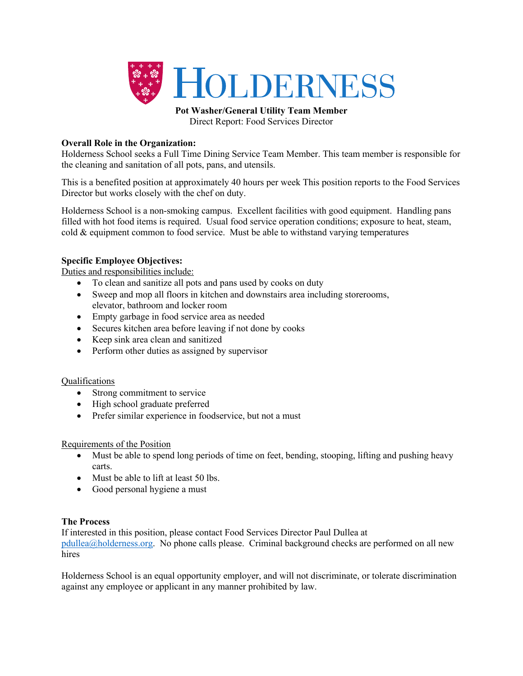

**Pot Washer/General Utility Team Member** Direct Report: Food Services Director

# **Overall Role in the Organization:**

Holderness School seeks a Full Time Dining Service Team Member. This team member is responsible for the cleaning and sanitation of all pots, pans, and utensils.

This is a benefited position at approximately 40 hours per week This position reports to the Food Services Director but works closely with the chef on duty.

Holderness School is a non-smoking campus. Excellent facilities with good equipment. Handling pans filled with hot food items is required. Usual food service operation conditions; exposure to heat, steam, cold  $&$  equipment common to food service. Must be able to withstand varying temperatures

# **Specific Employee Objectives:**

Duties and responsibilities include:

- To clean and sanitize all pots and pans used by cooks on duty
- Sweep and mop all floors in kitchen and downstairs area including storerooms, elevator, bathroom and locker room
- Empty garbage in food service area as needed
- Secures kitchen area before leaving if not done by cooks
- Keep sink area clean and sanitized
- Perform other duties as assigned by supervisor

## Qualifications

- Strong commitment to service
- High school graduate preferred
- Prefer similar experience in foodservice, but not a must

## Requirements of the Position

- Must be able to spend long periods of time on feet, bending, stooping, lifting and pushing heavy carts.
- Must be able to lift at least 50 lbs.
- Good personal hygiene a must

## **The Process**

If interested in this position, please contact Food Services Director Paul Dullea at pdullea@holderness.org. No phone calls please. Criminal background checks are performed on all new hires

Holderness School is an equal opportunity employer, and will not discriminate, or tolerate discrimination against any employee or applicant in any manner prohibited by law.